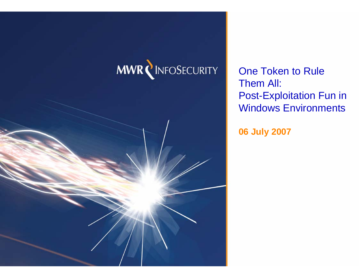### **MWR NINFOSECURITY**

One Token to Rule Them All: Post-Exploitation Fun in Windows Environments

**06 July 2007**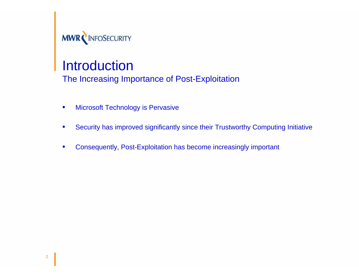

The Increasing Importance of Post-Exploitation

- Microsoft Technology is Pervasive
- Security has improved significantly since their Trustworthy Computing Initiative
- Consequently, Post-Exploitation has become increasingly important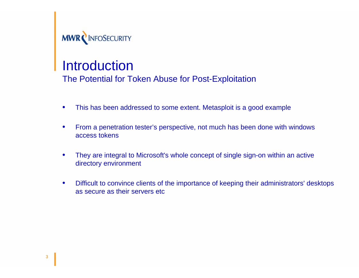

The Potential for Token Abuse for Post-Exploitation

- This has been addressed to some extent. Metasploit is a good example
- From a penetration tester's perspective, not much has been done with windows access tokens
- They are integral to Microsoft's whole concept of single sign-on within an active directory environment
- Difficult to convince clients of the importance of keeping their administrators' desktops as secure as their servers etc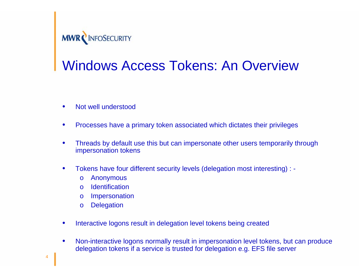

### Windows Access Tokens: An Overview

- Not well understood
- Processes have a primary token associated which dictates their privileges
- Threads by default use this but can impersonate other users temporarily through impersonation tokens
- Tokens have four different security levels (delegation most interesting) :
	- o Anonymous
	- o Identification
	- o Impersonation
	- o Delegation
- Interactive logons result in delegation level tokens being created
- Non-interactive logons normally result in impersonation level tokens, but can produce delegation tokens if a service is trusted for delegation e.g. EFS file server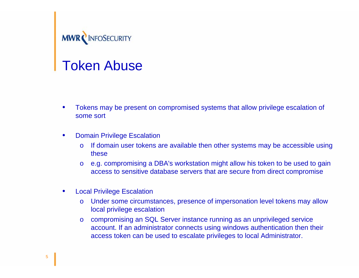

#### Token Abuse

- Tokens may be present on compromised systems that allow privilege escalation of some sort
- Domain Privilege Escalation
	- o If domain user tokens are available then other systems may be accessible using these
	- o e.g. compromising a DBA's workstation might allow his token to be used to gain access to sensitive database servers that are secure from direct compromise
- Local Privilege Escalation
	- o Under some circumstances, presence of impersonation level tokens may allow local privilege escalation
	- o compromising an SQL Server instance running as an unprivileged service account. If an administrator connects using windows authentication then their access token can be used to escalate privileges to local Administrator.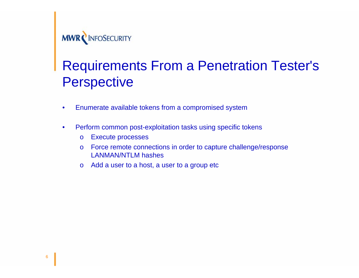

### Requirements From a Penetration Tester's **Perspective**

- Enumerate available tokens from a compromised system
- Perform common post-exploitation tasks using specific tokens
	- o Execute processes
	- o Force remote connections in order to capture challenge/response LANMAN/NTLM hashes
	- o Add a user to a host, a user to a group etc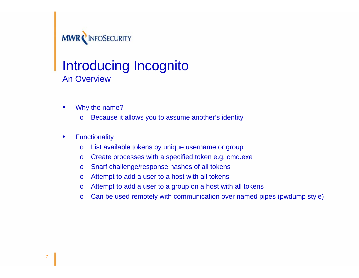

### **Introducing Incognito** An Overview

- Why the name?
	- o Because it allows you to assume another's identity
- Functionality
	- o List available tokens by unique username or group
	- o Create processes with a specified token e.g. cmd.exe
	- o Snarf challenge/response hashes of all tokens
	- o Attempt to add a user to a host with all tokens
	- o Attempt to add a user to a group on a host with all tokens
	- o Can be used remotely with communication over named pipes (pwdump style)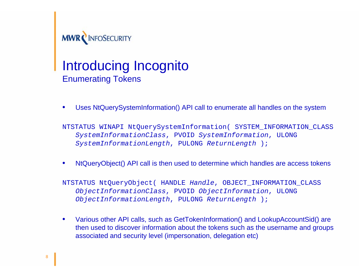

# MWRCINFOSECURITY<br>Introducing Incognito Enumerating Tokens

• Uses NtQuerySystemInformation() API call to enumerate all handles on the system

NTSTATUS WINAPI NtQuerySystemInformation( SYSTEM\_INFORMATION\_CLASS *SystemInformationClass*, PVOID *SystemInformation*, ULONG *SystemInformationLength*, PULONG *ReturnLength* );

• NtQueryObject() API call is then used to determine which handles are access tokens

NTSTATUS NtQueryObject( HANDLE *Handle*, OBJECT\_INFORMATION\_CLASS *ObjectInformationClass*, PVOID *ObjectInformation*, ULONG *ObjectInformationLength*, PULONG *ReturnLength* );

• Various other API calls, such as GetTokenInformation() and LookupAccountSid() are then used to discover information about the tokens such as the username and groups associated and security level (impersonation, delegation etc)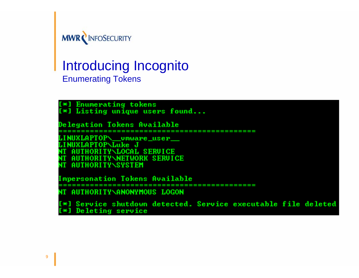

#### Introducing Incognito Enumerating Tokens

[\*] Enumerating tokens<br>[\*] Listing unique users found... **Delegation Tokens Available** \_vmware\_user\_ **TYNLOCAL SERUICE** AUTHORITYNNETWORK SERUICE **AUTHORITY\SYSTEM Impersonation Tokens Available** ------------**NT AUTHORITY\ANONYMOUS LOGON** [\*] Service shutdown detected. Service executable file deleted [\*] Deleting service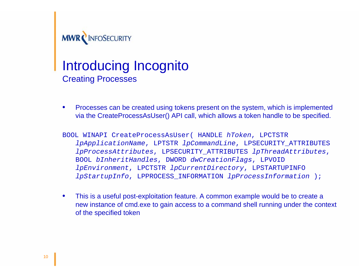

### Introducing Incognito Creating Processes

- Processes can be created using tokens present on the system, which is implemented via the CreateProcessAsUser() API call, which allows a token handle to be specified.
- BOOL WINAPI CreateProcessAsUser( HANDLE *hToken*, LPCTSTR *lpApplicationName*, LPTSTR *lpCommandLine*, LPSECURITY\_ATTRIBUTES *lpProcessAttributes*, LPSECURITY\_ATTRIBUTES *lpThreadAttributes*, BOOL *bInheritHandles*, DWORD *dwCreationFlags*, LPVOID *lpEnvironment*, LPCTSTR *lpCurrentDirectory*, LPSTARTUPINFO *lpStartupInfo*, LPPROCESS\_INFORMATION *lpProcessInformation* );
- This is a useful post-exploitation feature. A common example would be to create a new instance of cmd.exe to gain access to a command shell running under the context of the specified token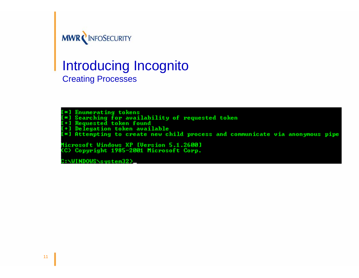

#### Introducing Incognito Creating Processes

[\*] Enumerating tokens (\*) Enumerating tokens<br>[\*] Searching for availability of requested token<br>[+] Requested token found<br>[\*] Delegation token available<br>[\*] Attempting to create new child process and communicate via anonymous pipe Microsoft Windows XP [Version 5.1.2600] (C) Copyright 1985-2001 Microsoft Corp. :\WINDOWS\sustem32>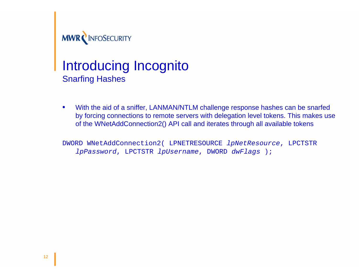

# MWRCINFOSECURITY<br>Introducing Incognito Snarfing Hashes

• With the aid of a sniffer, LANMAN/NTLM challenge response hashes can be snarfed by forcing connections to remote servers with delegation level tokens. This makes use of the WNetAddConnection2() API call and iterates through all available tokens

DWORD WNetAddConnection2( LPNETRESOURCE *lpNetResource*, LPCTSTR *lpPassword*, LPCTSTR *lpUsername*, DWORD *dwFlags* );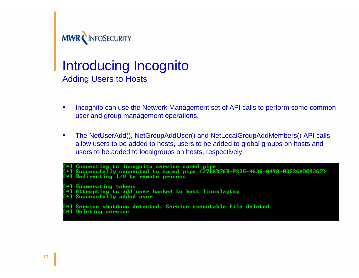

### Introducing Incognito Adding Users to Hosts

- Incognito can use the Network Management set of API calls to perform some common user and group management operations.
- The NetUserAdd(), NetGroupAddUser() and NetLocalGroupAddMembers() API calls allow users to be added to hosts, users to be added to global groups on hosts and users to be added to localgroups on hosts, respectively.

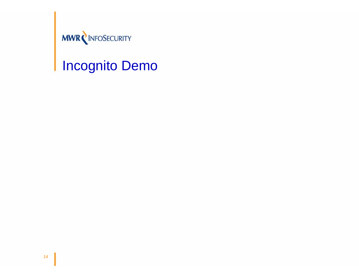

# **MWRCINFOSECURITY**<br>Incognito Demo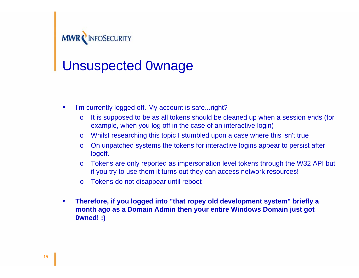

# MWRCINFOSECURITY<br>Unsuspected 0wnage

- I'm currently logged off. My account is safe...right?
	- o It is supposed to be as all tokens should be cleaned up when a session ends (for example, when you log off in the case of an interactive login)
	- o Whilst researching this topic I stumbled upon a case where this isn't true
	- o On unpatched systems the tokens for interactive logins appear to persist after logoff.
	- o Tokens are only reported as impersonation level tokens through the W32 API but if you try to use them it turns out they can access network resources!
	- o Tokens do not disappear until reboot
- **Therefore, if you logged into "that ropey old development system" briefly a month ago as a Domain Admin then your entire Windows Domain just got 0wned! :)**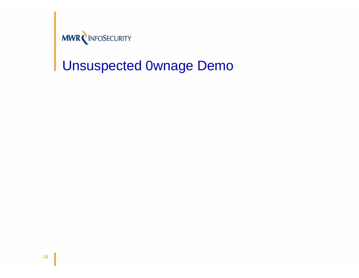

## Unsuspected 0wnage Demo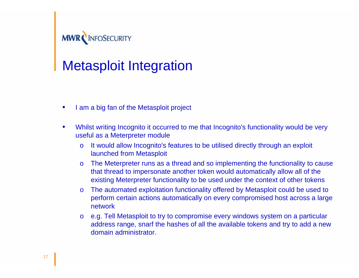

# **MWRCINFOSECURITY**<br>Metasploit Integration

- I am a big fan of the Metasploit project
- Whilst writing Incognito it occurred to me that Incognito's functionality would be very useful as a Meterpreter module
	- o It would allow Incognito's features to be utilised directly through an exploit launched from Metasploit
	- o The Meterpreter runs as a thread and so implementing the functionality to cause that thread to impersonate another token would automatically allow all of the existing Meterpreter functionality to be used under the context of other tokens
	- o The automated exploitation functionality offered by Metasploit could be used to perform certain actions automatically on every compromised host across a large network
	- o e.g. Tell Metasploit to try to compromise every windows system on a particular address range, snarf the hashes of all the available tokens and try to add a new domain administrator.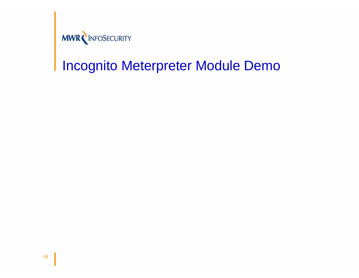

## Incognito Meterpreter Module Demo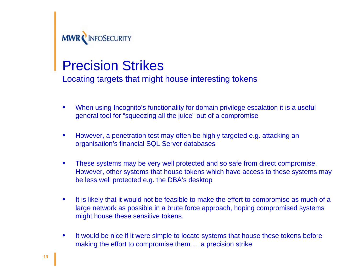

# **MWRCINFOSECURITY**<br>Precision Strikes

Locating targets that might house interesting tokens

- When using Incognito's functionality for domain privilege escalation it is a useful general tool for "squeezing all the juice" out of a compromise
- However, a penetration test may often be highly targeted e.g. attacking an organisation's financial SQL Server databases
- These systems may be very well protected and so safe from direct compromise. However, other systems that house tokens which have access to these systems may be less well protected e.g. the DBA's desktop
- It is likely that it would not be feasible to make the effort to compromise as much of a large network as possible in a brute force approach, hoping compromised systems might house these sensitive tokens.
- It would be nice if it were simple to locate systems that house these tokens before making the effort to compromise them…..a precision strike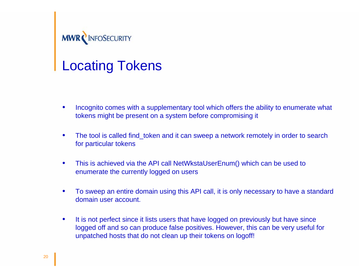

# **MWRCINFOSECURITY**<br>Locating Tokens

- Incognito comes with a supplementary tool which offers the ability to enumerate what tokens might be present on a system before compromising it
- The tool is called find token and it can sweep a network remotely in order to search for particular tokens
- This is achieved via the API call NetWkstaUserEnum() which can be used to enumerate the currently logged on users
- To sweep an entire domain using this API call, it is only necessary to have a standard domain user account.
- It is not perfect since it lists users that have logged on previously but have since logged off and so can produce false positives. However, this can be very useful for unpatched hosts that do not clean up their tokens on logoff!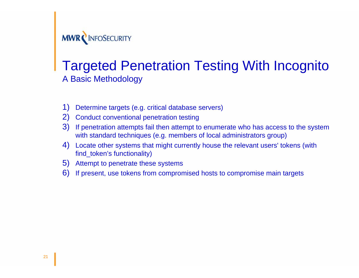

#### Targeted Penetration Testing With Incognito A Basic Methodology

- 1) Determine targets (e.g. critical database servers)
- 2) Conduct conventional penetration testing
- 3) If penetration attempts fail then attempt to enumerate who has access to the system with standard techniques (e.g. members of local administrators group)
- 4) Locate other systems that might currently house the relevant users' tokens (with find token's functionality)
- 5) Attempt to penetrate these systems
- 6) If present, use tokens from compromised hosts to compromise main targets